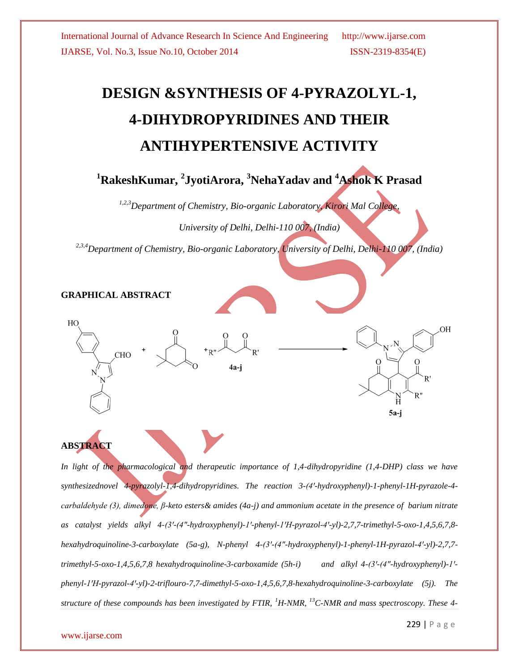# **DESIGN &SYNTHESIS OF 4-PYRAZOLYL-1, 4-DIHYDROPYRIDINES AND THEIR ANTIHYPERTENSIVE ACTIVITY**

# **<sup>1</sup>RakeshKumar, <sup>2</sup> JyotiArora, <sup>3</sup>NehaYadav and <sup>4</sup>Ashok K Prasad**

*1,2,3Department of Chemistry, Bio-organic Laboratory, Kirori Mal College,* 

*University of Delhi, Delhi-110 007, (India)*

*2,3,4Department of Chemistry, Bio-organic Laboratory, University of Delhi, Delhi-110 007, (India)*

#### **GRAPHICAL ABSTRACT**





*In light of the pharmacological and therapeutic importance of 1,4-dihydropyridine (1,4-DHP) class we have synthesizednovel 4-pyrazolyl-1,4-dihydropyridines. The reaction 3-(4ꞌ-hydroxyphenyl)-1-phenyl-1H-pyrazole-4 carbaldehyde (3), dimedone, β-keto esters& amides (4a-j) and ammonium acetate in the presence of barium nitrate as catalyst yields alkyl 4-(3ꞌ-(4″-hydroxyphenyl)-1ꞌ-phenyl-1ꞌH-pyrazol-4ꞌ-yl)-2,7,7-trimethyl-5-oxo-1,4,5,6,7,8 hexahydroquinoline-3-carboxylate (5a-g), N-phenyl 4-(3ꞌ-(4″-hydroxyphenyl)-1-phenyl-1H-pyrazol-4ꞌ-yl)-2,7,7 trimethyl-5-oxo-1,4,5,6,7,8 hexahydroquinoline-3-carboxamide (5h-i)* and alkyl 4-(3'-(4"-hydroxyphenyl)-1'*phenyl-1ꞌH-pyrazol-4ꞌ-yl)-2-triflouro-7,7-dimethyl-5-oxo-1,4,5,6,7,8-hexahydroquinoline-3-carboxylate (5j). The structure of these compounds has been investigated by FTIR, <sup>1</sup>H-NMR, <sup>13</sup>C-NMR and mass spectroscopy. These 4-*

OН

5a-j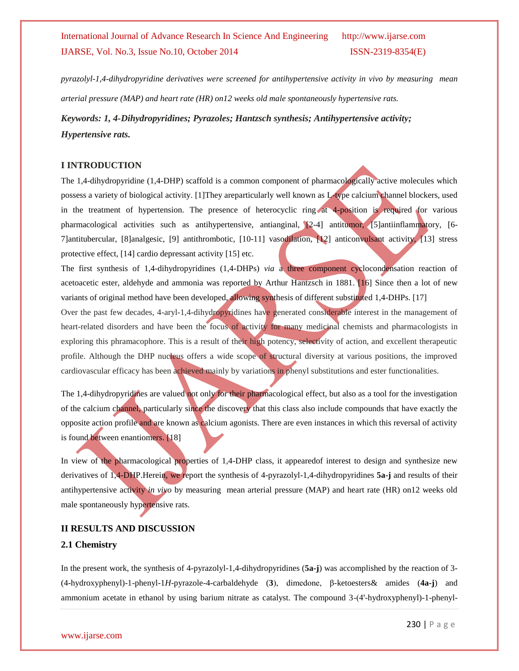*pyrazolyl-1,4-dihydropyridine derivatives were screened for antihypertensive activity in vivo by measuring mean arterial pressure (MAP) and heart rate (HR) on12 weeks old male spontaneously hypertensive rats.*

*Keywords: 1, 4-Dihydropyridines; Pyrazoles; Hantzsch synthesis; Antihypertensive activity; Hypertensive rats.*

#### **I INTRODUCTION**

The 1,4-dihydropyridine (1,4-DHP) scaffold is a common component of pharmacologically active molecules which possess a variety of biological activity. [1]They areparticularly well known as L-type calcium channel blockers, used in the treatment of hypertension. The presence of heterocyclic ring at 4-position is required for various pharmacological activities such as antihypertensive, antianginal, [2-4] antitumor, [5]antiinflammatory, [6- 7]antitubercular, [8]analgesic, [9] antithrombotic, [10-11] vasodilation, [12] anticonvulsant activity, [13] stress protective effect, [14] cardio depressant activity [15] etc.

The first synthesis of 1,4-dihydropyridines (1,4-DHPs) *via* a three component cyclocondensation reaction of acetoacetic ester, aldehyde and ammonia was reported by Arthur Hantzsch in 1881. [16] Since then a lot of new variants of original method have been developed, allowing synthesis of different substituted 1,4-DHPs. [17]

Over the past few decades, 4-aryl-1,4-dihydropyridines have generated considerable interest in the management of heart-related disorders and have been the focus of activity for many medicinal chemists and pharmacologists in exploring this phramacophore. This is a result of their high potency, selectivity of action, and excellent therapeutic profile. Although the DHP nucleus offers a wide scope of structural diversity at various positions, the improved cardiovascular efficacy has been achieved mainly by variations in phenyl substitutions and ester functionalities.

The 1,4-dihydropyridines are valued not only for their pharmacological effect, but also as a tool for the investigation of the calcium channel, particularly since the discovery that this class also include compounds that have exactly the opposite action profile and are known as calcium agonists. There are even instances in which this reversal of activity is found between enantiomers. [18]

In view of the pharmacological properties of 1,4-DHP class, it appearedof interest to design and synthesize new derivatives of 1,4-DHP.Herein, we report the synthesis of 4-pyrazolyl-1,4-dihydropyridines **5a-j** and results of their antihypertensive activity *in vivo* by measuring mean arterial pressure (MAP) and heart rate (HR) on12 weeks old male spontaneously hypertensive rats.

#### **II RESULTS AND DISCUSSION**

#### **2.1 Chemistry**

In the present work, the synthesis of 4-pyrazolyl-1,4-dihydropyridines (**5a-j**) was accomplished by the reaction of 3- (4-hydroxyphenyl)-1-phenyl-1*H*-pyrazole-4-carbaldehyde (**3**), dimedone, β-ketoesters& amides (**4a-j**) and ammonium acetate in ethanol by using barium nitrate as catalyst. The compound 3-(4'-hydroxyphenyl)-1-phenyl-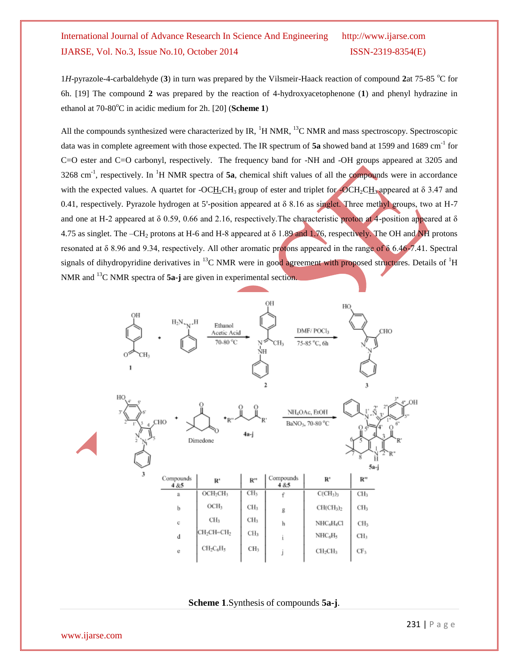1*H*-pyrazole-4-carbaldehyde (3) in turn was prepared by the Vilsmeir-Haack reaction of compound 2at 75-85 °C for 6h. [19] The compound **2** was prepared by the reaction of 4-hydroxyacetophenone (**1**) and phenyl hydrazine in ethanol at 70-80<sup>o</sup>C in acidic medium for 2h. [20] (**Scheme 1**)

All the compounds synthesized were characterized by IR,  ${}^{1}H$  NMR,  ${}^{13}C$  NMR and mass spectroscopy. Spectroscopic data was in complete agreement with those expected. The IR spectrum of 5a showed band at 1599 and 1689 cm<sup>-1</sup> for C=O ester and C=O carbonyl, respectively. The frequency band for -NH and -OH groups appeared at 3205 and  $3268 \text{ cm}^{-1}$ , respectively. In <sup>1</sup>H NMR spectra of **5a**, chemical shift values of all the compounds were in accordance with the expected values. A quartet for -OCH<sub>2</sub>CH<sub>3</sub> group of ester and triplet for -OCH<sub>2</sub>CH<sub>3</sub> appeared at  $\delta$  3.47 and 0.41, respectively. Pyrazole hydrogen at 5'-position appeared at  $\delta$  8.16 as singlet. Three methyl groups, two at H-7 and one at H-2 appeared at  $\delta$  0.59, 0.66 and 2.16, respectively. The characteristic proton at 4-position appeared at  $\delta$ 4.75 as singlet. The –CH<sub>2</sub> protons at H-6 and H-8 appeared at  $\delta$  1.89 and 1.76, respectively. The OH and NH protons resonated at δ 8.96 and 9.34, respectively. All other aromatic protons appeared in the range of δ 6.46-7.41. Spectral signals of dihydropyridine derivatives in  $^{13}$ C NMR were in good agreement with proposed structures. Details of  $^{1}$ H NMR and <sup>13</sup>C NMR spectra of **5a-j** are given in experimental section.



**Scheme 1**.Synthesis of compounds **5a-j**.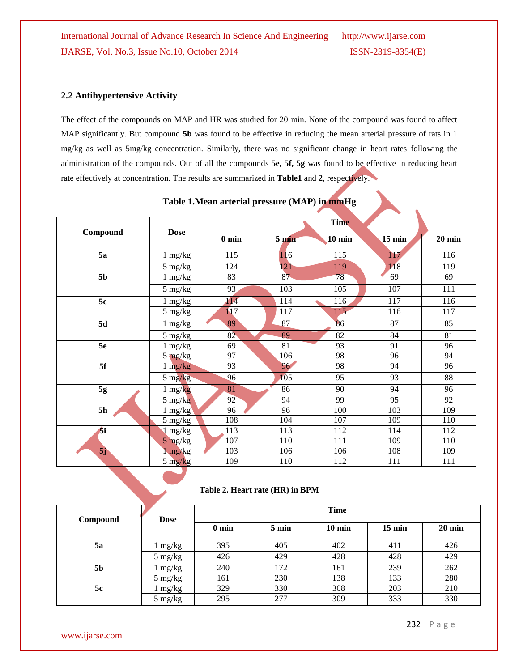#### **2.2 Antihypertensive Activity**

The effect of the compounds on MAP and HR was studied for 20 min. None of the compound was found to affect MAP significantly. But compound **5b** was found to be effective in reducing the mean arterial pressure of rats in 1 mg/kg as well as 5mg/kg concentration. Similarly, there was no significant change in heart rates following the administration of the compounds. Out of all the compounds **5e, 5f, 5g** was found to be effective in reducing heart rate effectively at concentration. The results are summarized in **Table1** and **2**, respectively.

|                | <b>Dose</b>                     | <b>Time</b> |                  |          |                  |          |
|----------------|---------------------------------|-------------|------------------|----------|------------------|----------|
| Compound       |                                 | $0$ min     | 5 <sub>min</sub> | $10$ min | $15 \text{ min}$ | $20$ min |
| 5a             | $1 \text{ mg/kg}$               | 115         | 116              | 115      | 117              | 116      |
|                | 5 mg/kg                         | 124         | 121              | 119      | 118              | 119      |
| 5 <sub>b</sub> | $1 \text{ mg/kg}$               | 83          | 87               | 78       | 69               | 69       |
|                | 5 mg/kg                         | 93          | 103              | 105      | 107              | 111      |
| 5c             | $1 \text{ mg/kg}$               | 114         | 114              | 116      | 117              | 116      |
|                | 5 mg/kg                         | 117         | 117              | 115      | 116              | 117      |
| 5d             | $1 \text{ mg/kg}$               | 89          | 87               | 86       | 87               | 85       |
|                | 5 mg/kg                         | 82          | 89               | 82       | 84               | 81       |
| 5e             | $1 \text{ mg/kg}$               | 69          | 81               | 93       | 91               | 96       |
|                | $5 \frac{\text{mg}}{\text{kg}}$ | 97          | 106              | 98       | 96               | 94       |
| 5f             | $1$ mg/kg                       | 93          | 96               | 98       | 94               | 96       |
|                | $5 \frac{\text{mg}}{\text{kg}}$ | 96          | 105              | 95       | 93               | 88       |
| 5g             | $1 \text{ mg/kg}$               | 81          | 86               | 90       | 94               | 96       |
|                | $5 \text{ mg/kg}$               | 92          | 94               | 99       | 95               | 92       |
| 5h             | $1$ mg/kg                       | 96          | 96               | 100      | 103              | 109      |
|                | $5 \frac{\text{mg}}{\text{kg}}$ | 108         | 104              | 107      | 109              | 110      |
| Ŝi.            | $1 \text{ mg/kg}$               | 113         | 113              | 112      | 114              | 112      |
|                | $5 \text{ mg/kg}$               | 107         | 110              | 111      | 109              | 110      |
| 5j             | $1 \text{ mg/kg}$               | 103         | 106              | 106      | 108              | 109      |
|                | $5 \frac{\text{mg}}{\text{kg}}$ | 109         | 110              | 112      | 111              | 111      |

**Table 1.Mean arterial pressure (MAP) in mmHg**

#### **Table 2. Heart rate (HR) in BPM**

| Compound       | <b>Dose</b>       | <b>Time</b>     |                 |                  |                  |                  |  |
|----------------|-------------------|-----------------|-----------------|------------------|------------------|------------------|--|
|                |                   | $0 \text{ min}$ | $5 \text{ min}$ | $10 \text{ min}$ | $15 \text{ min}$ | $20 \text{ min}$ |  |
| <b>5a</b>      | 1 mg/kg           | 395             | 405             | 402              | 411              | 426              |  |
|                | $5 \text{ mg/kg}$ | 426             | 429             | 428              | 428              | 429              |  |
| 5 <sub>b</sub> | mg/kg             | 240             | 172             | 161              | 239              | 262              |  |
|                | $5 \text{ mg/kg}$ | 161             | 230             | 138              | 133              | 280              |  |
| 5c             | mg/kg             | 329             | 330             | 308              | 203              | 210              |  |
|                | $5 \text{ mg/kg}$ | 295             | 277             | 309              | 333              | 330              |  |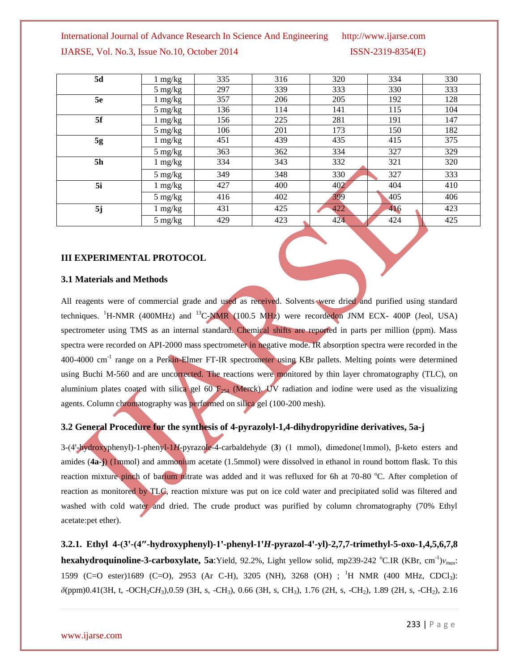| 5d | 1 mg/kg           | 335 | 316 | 320 | 334 | 330 |
|----|-------------------|-----|-----|-----|-----|-----|
|    | $5 \text{ mg/kg}$ | 297 | 339 | 333 | 330 | 333 |
| 5e | 1 mg/kg           | 357 | 206 | 205 | 192 | 128 |
|    | $5 \text{ mg/kg}$ | 136 | 114 | 141 | 115 | 104 |
| 5f | 1 mg/kg           | 156 | 225 | 281 | 191 | 147 |
|    | $5 \text{ mg/kg}$ | 106 | 201 | 173 | 150 | 182 |
| 5g | 1 mg/kg           | 451 | 439 | 435 | 415 | 375 |
|    | $5 \text{ mg/kg}$ | 363 | 362 | 334 | 327 | 329 |
| 5h | 1 mg/kg           | 334 | 343 | 332 | 321 | 320 |
|    | $5 \text{ mg/kg}$ | 349 | 348 | 330 | 327 | 333 |
| 5i | $1 \text{ mg/kg}$ | 427 | 400 | 402 | 404 | 410 |
|    | $5 \text{ mg/kg}$ | 416 | 402 | 399 | 405 | 406 |
| 5j | 1 mg/kg           | 431 | 425 | 422 | 416 | 423 |
|    | $5 \text{ mg/kg}$ | 429 | 423 | 424 | 424 | 425 |

#### **III EXPERIMENTAL PROTOCOL**

#### **3.1 Materials and Methods**

All reagents were of commercial grade and used as received. Solvents were dried and purified using standard techniques. <sup>1</sup>H-NMR (400MHz) and <sup>13</sup>C-NMR (100.5 MHz) were recordedon JNM ECX- 400P (Jeol, USA) spectrometer using TMS as an internal standard. Chemical shifts are reported in parts per million (ppm). Mass spectra were recorded on API-2000 mass spectrometer in negative mode. IR absorption spectra were recorded in the 400-4000 cm<sup>-1</sup> range on a Perkin-Elmer FT-IR spectrometer using KBr pallets. Melting points were determined using Buchi M-560 and are uncorrected. The reactions were monitored by thin layer chromatography (TLC), on aluminium plates coated with silica gel 60  $F_{254}$  (Merck). UV radiation and iodine were used as the visualizing agents. Column chromatography was performed on silica gel (100-200 mesh).

#### **3.2 General Procedure for the synthesis of 4-pyrazolyl-1,4-dihydropyridine derivatives, 5a-j**

3-(4ꞌ-hydroxyphenyl)-1-phenyl-1*H*-pyrazole-4-carbaldehyde (**3**) (1 mmol), dimedone(1mmol), β-keto esters and amides (**4a-j**) (1mmol) and ammonium acetate (1.5mmol) were dissolved in ethanol in round bottom flask. To this reaction mixture pinch of barium nitrate was added and it was refluxed for 6h at 70-80 °C. After completion of reaction as monitored by TLC, reaction mixture was put on ice cold water and precipitated solid was filtered and washed with cold water and dried. The crude product was purified by column chromatography (70% Ethyl acetate:pet ether).

**3.2.1. Ethyl 4-(3ꞌ-(4″-hydroxyphenyl)-1ꞌ-phenyl-1ꞌ***H***-pyrazol-4ꞌ-yl)-2,7,7-trimethyl-5-oxo-1,4,5,6,7,8 hexahydroquinoline-3-carboxylate, 5a**:Yield, 92.2%, Light yellow solid, mp239-242 °C.IR (KBr, cm<sup>-1</sup>)ν<sub>*max*</sub>: 1599 (C=O ester)1689 (C=O), 2953 (Ar C-H), 3205 (NH), 3268 (OH) ; <sup>1</sup>H NMR (400 MHz, CDCl3): *δ*(ppm)0.41(3H, t, -OCH2C*H*3),0.59 (3H, s, -CH3), 0.66 (3H, s, CH3), 1.76 (2H, s, -CH2), 1.89 (2H, s, -CH2), 2.16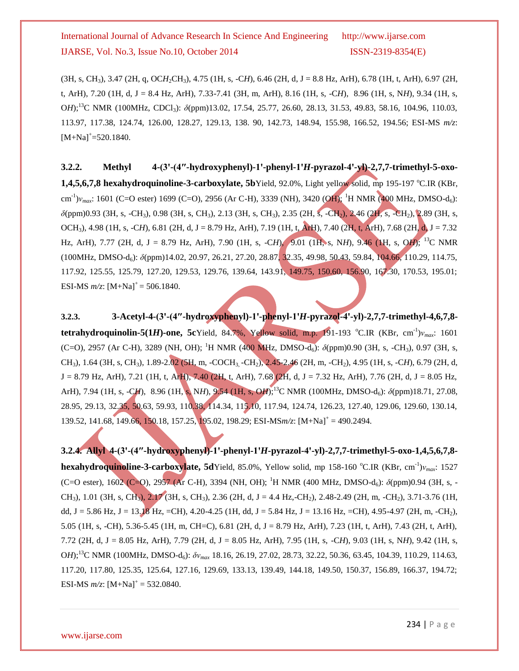(3H, s, CH3), 3.47 (2H, q, OC*H*2CH3), 4.75 (1H, s, -C*H*), 6.46 (2H, d, J = 8.8 Hz, ArH), 6.78 (1H, t, ArH), 6.97 (2H, t, ArH), 7.20 (1H, d, J = 8.4 Hz, ArH), 7.33-7.41 (3H, m, ArH), 8.16 (1H, s, -C*H*), 8.96 (1H, s, N*H*), 9.34 (1H, s, O*H*);<sup>13</sup>C NMR (100MHz, CDCl3): *δ*(ppm)13.02, 17.54, 25.77, 26.60, 28.13, 31.53, 49.83, 58.16, 104.96, 110.03, 113.97, 117.38, 124.74, 126.00, 128.27, 129.13, 138. 90, 142.73, 148.94, 155.98, 166.52, 194.56; ESI-MS *m/z*:  $[M+Na]^+=520.1840.$ 

3.2.2. Methyl 4-(3'-(4"-hydroxyphenyl)-1'-phenyl-1'*H*-pyrazol-4'-yl)-2,7,7-trimethyl-5-oxo-**1,4,5,6,7,8 hexahydroquinoline-3-carboxylate, 5b**Yield, 92.0%, Light yellow solid, mp 195-197 °C.IR (KBr, cm<sup>-1</sup>)*ν*<sub>max</sub>: 1601 (C=O ester) 1699 (C=O), 2956 (Ar C-H), 3339 (NH), 3420 (OH); <sup>1</sup>H NMR (400 MHz, DMSO-d<sub>6</sub>): *δ*(ppm)0.93 (3H, s, -CH3), 0.98 (3H, s, CH3), 2.13 (3H, s, CH3), 2.35 (2H, s, -CH2), 2.46 (2H, s, -CH2), 2.89 (3H, s, OCH3), 4.98 (1H, s, -C*H*), 6.81 (2H, d, J = 8.79 Hz, ArH), 7.19 (1H, t, ArH), 7.40 (2H, t, ArH), 7.68 (2H, d, J = 7.32 Hz, ArH), 7.77 (2H, d, J = 8.79 Hz, ArH), 7.90 (1H, s, -C*H*), 9.01 (1H, s, N*H*), 9.46 (1H, s, O*H*); <sup>13</sup>C NMR (100MHz, DMSO-d6): *δ*(ppm)14.02, 20.97, 26.21, 27.20, 28.87, 32.35, 49.98, 50.43, 59.84, 104.66, 110.29, 114.75, 117.92, 125.55, 125.79, 127.20, 129.53, 129.76, 139.64, 143.91, 149.75, 150.60, 156.90, 167.30, 170.53, 195.01; ESI-MS  $m/z$ :  $[M+Na]^+=$  506.1840.

**3.2.3. 3-Acetyl-4-(3ꞌ-(4″-hydroxyphenyl)-1ꞌ-phenyl-1ꞌ***H***-pyrazol-4ꞌ-yl)-2,7,7-trimethyl-4,6,7,8 tetrahydroquinolin-5(1***H***)-one, 5c**Yield, 84.7%, Yellow solid, m.p. 191-193 °C.IR (KBr, cm<sup>-1</sup>) $v_{max}$ : 1601 (C=O), 2957 (Ar C-H), 3289 (NH, OH); <sup>1</sup>H NMR (400 MHz, DMSO-d<sub>6</sub>):  $\delta$ (ppm)0.90 (3H, s, -CH<sub>3</sub>), 0.97 (3H, s, CH3), 1.64 (3H, s, CH3), 1.89-2.02 (5H, m, -COCH3, -CH2), 2.45-2.46 (2H, m, -CH2), 4.95 (1H, s, -C*H*), 6.79 (2H, d, J = 8.79 Hz, ArH), 7.21 (1H, t, ArH), 7.40 (2H, t, ArH), 7.68 (2H, d, J = 7.32 Hz, ArH), 7.76 (2H, d, J = 8.05 Hz, ArH), 7.94 (1H, s, -C*H*), 8.96 (1H, s, N*H*), 9.54 (1H, s, O*H*);<sup>13</sup>C NMR (100MHz, DMSO-d<sub>6</sub>): *δ*(ppm)18.71, 27.08, 28.95, 29.13, 32.35, 50.63, 59.93, 110.38, 114.34, 115.10, 117.94, 124.74, 126.23, 127.40, 129.06, 129.60, 130.14, 139.52, 141.68, 149.66, 150.18, 157.25, 195.02, 198.29; ESI-MS*m/z*: [M+Na]<sup>+</sup> = 490.2494.

**3.2.4. Allyl 4-(3ꞌ-(4″-hydroxyphenyl)-1ꞌ-phenyl-1ꞌ***H***-pyrazol-4ꞌ-yl)-2,7,7-trimethyl-5-oxo-1,4,5,6,7,8 hexahydroquinoline-3-carboxylate, 5d**Yield, 85.0%, Yellow solid, mp 158-160 °C.IR (KBr, cm<sup>-1</sup>)ν<sub>max</sub>: 1527 (C=O ester), 1602 (C=O), 2957 (Ar C-H), 3394 (NH, OH); <sup>1</sup>H NMR (400 MHz, DMSO-d6): *δ*(ppm)0.94 (3H, s, - CH<sub>3</sub>), 1.01 (3H, s, CH<sub>3</sub>), 2.17 (3H, s, CH<sub>3</sub>), 2.36 (2H, d, J = 4.4 Hz,-CH<sub>2</sub>), 2.48-2.49 (2H, m, -CH<sub>2</sub>), 3.71-3.76 (1H, dd, J = 5.86 Hz, J = 13.18 Hz, =CH), 4.20-4.25 (1H, dd, J = 5.84 Hz, J = 13.16 Hz, =CH), 4.95-4.97 (2H, m, -CH<sub>2</sub>), 5.05 (1H, s, -CH), 5.36-5.45 (1H, m, CH=C), 6.81 (2H, d, J = 8.79 Hz, ArH), 7.23 (1H, t, ArH), 7.43 (2H, t, ArH), 7.72 (2H, d, J = 8.05 Hz, ArH), 7.79 (2H, d, J = 8.05 Hz, ArH), 7.95 (1H, s, -C*H*), 9.03 (1H, s, N*H*), 9.42 (1H, s, O*H*);<sup>13</sup>C NMR (100MHz, DMSO-d6): *δνmax* 18.16, 26.19, 27.02, 28.73, 32.22, 50.36, 63.45, 104.39, 110.29, 114.63, 117.20, 117.80, 125.35, 125.64, 127.16, 129.69, 133.13, 139.49, 144.18, 149.50, 150.37, 156.89, 166.37, 194.72; ESI-MS  $m/z$ :  $[M+Na]^+$  = 532.0840.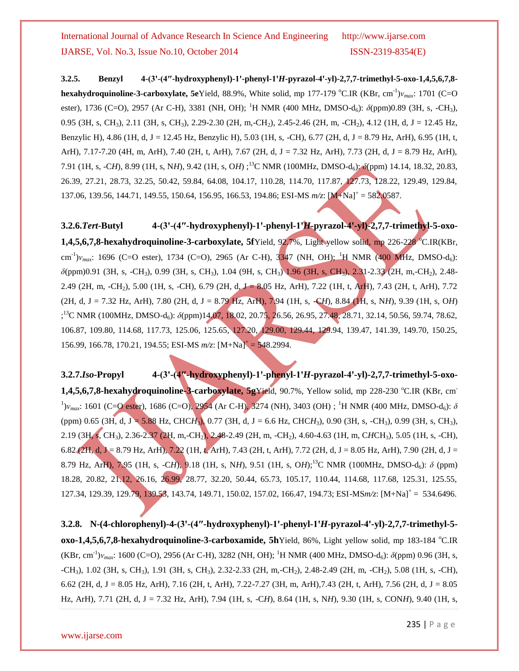**3.2.5. Benzyl 4-(3ꞌ-(4″-hydroxyphenyl)-1ꞌ-phenyl-1ꞌ***H***-pyrazol-4ꞌ-yl)-2,7,7-trimethyl-5-oxo-1,4,5,6,7,8 hexahydroquinoline-3-carboxylate, 5e**Yield, 88.9%, White solid, mp 177-179 °C.IR (KBr, cm<sup>-1</sup>) $v_{max}$ : 1701 (C=O ester), 1736 (C=O), 2957 (Ar C-H), 3381 (NH, OH); <sup>1</sup>H NMR (400 MHz, DMSO-d<sub>6</sub>): *δ*(ppm)0.89 (3H, s, -CH<sub>3</sub>), 0.95 (3H, s, CH<sub>3</sub>), 2.11 (3H, s, CH<sub>3</sub>), 2.29-2.30 (2H, m,-CH<sub>2</sub>), 2.45-2.46 (2H, m, -CH<sub>2</sub>), 4.12 (1H, d, J = 12.45 Hz, Benzylic H), 4.86 (1H, d, J = 12.45 Hz, Benzylic H), 5.03 (1H, s, -CH), 6.77 (2H, d, J = 8.79 Hz, ArH), 6.95 (1H, t, ArH), 7.17-7.20 (4H, m, ArH), 7.40 (2H, t, ArH), 7.67 (2H, d, J = 7.32 Hz, ArH), 7.73 (2H, d, J = 8.79 Hz, ArH), 7.91 (1H, s, -C*H*), 8.99 (1H, s, N*H*), 9.42 (1H, s, O*H*) ;<sup>13</sup>C NMR (100MHz, DMSO-d6): *δ*(ppm) 14.14, 18.32, 20.83, 26.39, 27.21, 28.73, 32.25, 50.42, 59.84, 64.08, 104.17, 110.28, 114.70, 117.87, 127.73, 128.22, 129.49, 129.84, 137.06, 139.56, 144.71, 149.55, 150.64, 156.95, 166.53, 194.86; ESI-MS  $m/z$ :  $[M+Na]^+= 582.0587$ .

3.2.6.*Tert***-Butyl** 4-(3'-(4"-hydroxyphenyl)-1'-phenyl-1'*H*-pyrazol-4'-yl)-2,7,7-trimethyl-5-oxo-**1,4,5,6,7,8-hexahydroquinoline-3-carboxylate, 5f**Yield, 92,7%, Light yellow solid, mp 226-228 <sup>o</sup>C.IR(KBr, cm<sup>-1</sup>)*ν<sub>max</sub>*: 1696 (C=O ester), 1734 (C=O), 2965 (Ar C-H), 3347 (NH, OH); <sup>1</sup>H NMR (400 MHz, DMSO-d<sub>6</sub>): *δ*(ppm)0.91 (3H, s, -CH3), 0.99 (3H, s, CH3), 1.04 (9H, s, CH3) 1.96 (3H, s, CH3), 2.31-2.33 (2H, m,-CH2), 2.48- 2.49 (2H, m, -CH<sub>2</sub>), 5.00 (1H, s, -CH), 6.79 (2H, d, J = 8.05 Hz, ArH), 7.22 (1H, t, ArH), 7.43 (2H, t, ArH), 7.72 (2H, d, J = 7.32 Hz, ArH), 7.80 (2H, d, J = 8.79 Hz, ArH), 7.94 (1H, s, -C*H*), 8.84 (1H, s, N*H*), 9.39 (1H, s, O*H*) <sup>13</sup>C NMR (100MHz, DMSO-d<sub>6</sub>):  $\delta$ (ppm)14.07, 18.02, 20.75, 26.56, 26.95, 27.48, 28.71, 32.14, 50.56, 59.74, 78.62, 106.87, 109.80, 114.68, 117.73, 125.06, 125.65, 127.20, 129.00, 129.44, 129.94, 139.47, 141.39, 149.70, 150.25, 156.99, 166.78, 170.21, 194.55; ESI-MS  $m/z$ :  $[M+Na]$ <sup>+</sup> = 548.2994.

3.2.7.*Iso-*Propyl 4-(3'-(4"-hydroxyphenyl)-1'-phenyl-1'*H*-pyrazol-4'-yl)-2,7,7-trimethyl-5-oxo-**1,4,5,6,7,8-hexahydroquinoline-3-carboxylate, 5gYield**, 90.7%, Yellow solid, mp 228-230 °C.IR (KBr, cm<sup>-</sup> <sup>1</sup>)*ν*<sub>max</sub>: 1601 (C=O ester), 1686 (C=O), 2954 (Ar C-H), 3274 (NH), 3403 (OH) ; <sup>1</sup>H NMR (400 MHz, DMSO-d<sub>6</sub>): δ (ppm) 0.65 (3H, d, J = 5.88 Hz, CHC*H*<sub>3</sub>), 0.77 (3H, d, J = 6.6 Hz, CHC*H*<sub>3</sub>), 0.90 (3H, s, -CH<sub>3</sub>), 0.99 (3H, s, CH<sub>3</sub>), 2.19 (3H, s, CH3), 2.36-2.37 (2H, m,-CH2), 2.48-2.49 (2H, m, -CH2), 4.60-4.63 (1H, m, C*H*CH3), 5.05 (1H, s, -CH), 6.82 (2H, d, J = 8.79 Hz, ArH), 7.22 (1H, t, ArH), 7.43 (2H, t, ArH), 7.72 (2H, d, J = 8.05 Hz, ArH), 7.90 (2H, d, J = 8.79 Hz, ArH), 7.95 (1H, s, -C*H*), 9.18 (1H, s, N*H*), 9.51 (1H, s, O*H*);<sup>13</sup>C NMR (100MHz, DMSO-d6): *δ* (ppm) 18.28, 20.82, 21.12, 26.16, 26.99, 28.77, 32.20, 50.44, 65.73, 105.17, 110.44, 114.68, 117.68, 125.31, 125.55, 127.34, 129.39, 129.79, 139.53, 143.74, 149.71, 150.02, 157.02, 166.47, 194.73; ESI-MSm/z: [M+Na]<sup>+</sup> = 534.6496.

**3.2.8. N-(4-chlorophenyl)-4-(3ꞌ-(4″-hydroxyphenyl)-1ꞌ-phenyl-1ꞌ***H***-pyrazol-4ꞌ-yl)-2,7,7-trimethyl-5 oxo-1,4,5,6,7,8-hexahydroquinoline-3-carboxamide, 5h**Yield, 86%, Light yellow solid, mp 183-184 °C.IR (KBr, cm<sup>-1</sup>)*ν<sub>max</sub>*: 1600 (C=O), 2956 (Ar C-H), 3282 (NH, OH); <sup>1</sup>H NMR (400 MHz, DMSO-d<sub>6</sub>): *δ*(ppm) 0.96 (3H, s, -CH3), 1.02 (3H, s, CH3), 1.91 (3H, s, CH3), 2.32-2.33 (2H, m,-CH2), 2.48-2.49 (2H, m, -CH2), 5.08 (1H, s, -CH), 6.62 (2H, d, J = 8.05 Hz, ArH), 7.16 (2H, t, ArH), 7.22-7.27 (3H, m, ArH),7.43 (2H, t, ArH), 7.56 (2H, d, J = 8.05 Hz, ArH), 7.71 (2H, d, J = 7.32 Hz, ArH), 7.94 (1H, s, -C*H*), 8.64 (1H, s, N*H*), 9.30 (1H, s, CON*H*), 9.40 (1H, s,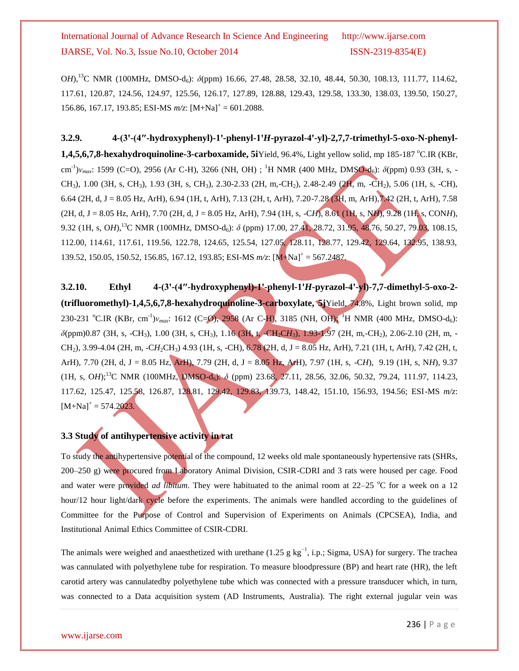OH),<sup>13</sup>C NMR (100MHz, DMSO-d<sub>6</sub>):  $δ$ (ppm) 16.66, 27.48, 28.58, 32.10, 48.44, 50.30, 108.13, 111.77, 114.62, 117.61, 120.87, 124.56, 124.97, 125.56, 126.17, 127.89, 128.88, 129.43, 129.58, 133.30, 138.03, 139.50, 150.27, 156.86, 167.17, 193.85; ESI-MS  $m/z$ : [M+Na]<sup>+</sup> = 601.2088.

3.2.9. 4-(3'-(4"-hydroxyphenyl)-1'-phenyl-1'*H*-pyrazol-4'-yl)-2,7,7-trimethyl-5-oxo-N-phenyl-**1,4,5,6,7,8-hexahydroquinoline-3-carboxamide, 5i**Yield, 96.4%, Light yellow solid, mp 185-187 °C.IR (KBr, cm<sup>-1</sup>)ν<sub>max</sub>: 1599 (C=O), 2956 (Ar C-H), 3266 (NH, OH) ; <sup>1</sup>H NMR (400 MHz, DMSO-d<sub>6</sub>): *δ*(ppm) 0.93 (3H, s, -CH<sub>3</sub>), 1.00 (3H, s, CH<sub>3</sub>), 1.93 (3H, s, CH<sub>3</sub>), 2.30-2.33 (2H, m,-CH<sub>2</sub>), 2.48-2.49 (2H, m, -CH<sub>2</sub>), 5.06 (1H, s, -CH), 6.64 (2H, d, J = 8.05 Hz, ArH), 6.94 (1H, t, ArH), 7.13 (2H, t, ArH), 7.20-7.28 (3H, m, ArH),7.42 (2H, t, ArH), 7.58 (2H, d, J = 8.05 Hz, ArH), 7.70 (2H, d, J = 8.05 Hz, ArH), 7.94 (1H, s, -C*H*), 8.61 (1H, s, N*H*), 9.28 (1H, s, CON*H*), 9.32 (1H, s, OH),<sup>13</sup>C NMR (100MHz, DMSO-d<sub>6</sub>): *δ* (ppm) 17.00, 27.41, 28.72, 31.95, 48.76, 50.27, 79.03, 108.15, 112.00, 114.61, 117.61, 119.56, 122.78, 124.65, 125.54, 127.05, 128.11, 128.77, 129.42, 129.64, 132.95, 138.93, 139.52, 150.05, 150.52, 156.85, 167.12, 193.85; ESI-MS *m/z*: [M+Na]<sup>+</sup> = 567.2487.

**3.2.10. Ethyl 4-(3ꞌ-(4″-hydroxyphenyl)-1ꞌ-phenyl-1ꞌ***H***-pyrazol-4ꞌ-yl)-7,7-dimethyl-5-oxo-2- (trifluoromethyl)-1,4,5,6,7,8-hexahydroquinoline-3-carboxylate, 5j**Yield, 74.8%, Light brown solid, mp 230-231 °C.IR (KBr, cm<sup>-1</sup>) $v_{max}$ : 1612 (C=O), 2958 (Ar C-H), 3185 (NH, OH); <sup>1</sup>H NMR (400 MHz, DMSO-d<sub>6</sub>): *δ*(ppm)0.87 (3H, s, -CH<sub>3</sub>), 1.00 (3H, s, CH<sub>3</sub>), 1.16 (3H, t, -CH<sub>2</sub>CH<sub>3</sub>), 1.93-1.97 (2H, m, -CH<sub>2</sub>), 2.06-2.10 (2H, m, -CH2), 3.99-4.04 (2H, m, -C*H*2CH3) 4.93 (1H, s, -CH), 6.78 (2H, d, J = 8.05 Hz, ArH), 7.21 (1H, t, ArH), 7.42 (2H, t, ArH), 7.70 (2H, d, J = 8.05 Hz, ArH), 7.79 (2H, d, J = 8.05 Hz, ArH), 7.97 (1H, s, -C*H*), 9.19 (1H, s, N*H*), 9.37 (1H, s, OH);<sup>13</sup>C NMR (100MHz, DMSO-d<sub>6</sub>): δ (ppm) 23.68, 27.11, 28.56, 32.06, 50.32, 79.24, 111.97, 114.23, 117.62, 125.47, 125.58, 126.87, 128.81, 129.42, 129.83, 139.73, 148.42, 151.10, 156.93, 194.56; ESI-MS *m/z*:  $[M+Na]^+=574.2023.$ 

### **3.3 Study of antihypertensive activity in rat**

To study the antihypertensive potential of the compound, 12 weeks old male spontaneously hypertensive rats (SHRs, 200–250 g) were procured from Laboratory Animal Division, CSIR-CDRI and 3 rats were housed per cage. Food and water were provided *ad libitum*. They were habituated to the animal room at 22–25 °C for a week on a 12 hour/12 hour light/dark cycle before the experiments. The animals were handled according to the guidelines of Committee for the Purpose of Control and Supervision of Experiments on Animals (CPCSEA), India, and Institutional Animal Ethics Committee of CSIR-CDRI.

The animals were weighed and anaesthetized with urethane (1.25 g kg<sup>-1</sup>, i.p.; Sigma, USA) for surgery. The trachea was cannulated with polyethylene tube for respiration. To measure bloodpressure (BP) and heart rate (HR), the left carotid artery was cannulatedby polyethylene tube which was connected with a pressure transducer which, in turn, was connected to a Data acquisition system (AD Instruments, Australia). The right external jugular vein was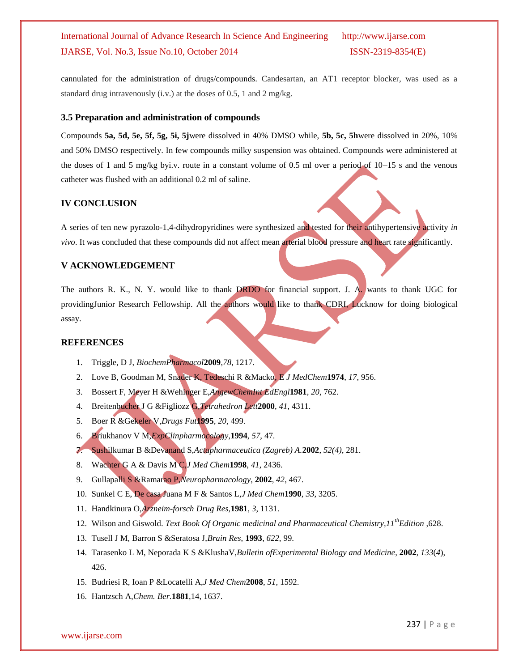cannulated for the administration of drugs/compounds. Candesartan, an AT1 receptor blocker, was used as a standard drug intravenously (i.v.) at the doses of 0.5, 1 and 2 mg/kg.

#### **3.5 Preparation and administration of compounds**

Compounds **5a, 5d, 5e, 5f, 5g, 5i, 5j**were dissolved in 40% DMSO while, **5b, 5c, 5h**were dissolved in 20%, 10% and 50% DMSO respectively. In few compounds milky suspension was obtained. Compounds were administered at the doses of 1 and 5 mg/kg byi.v. route in a constant volume of 0.5 ml over a period of 10–15 s and the venous catheter was flushed with an additional 0.2 ml of saline.

#### **IV CONCLUSION**

A series of ten new pyrazolo-1,4-dihydropyridines were synthesized and tested for their antihypertensive activity *in vivo*. It was concluded that these compounds did not affect mean arterial blood pressure and heart rate significantly.

#### **V ACKNOWLEDGEMENT**

The authors R. K., N. Y. would like to thank DRDO for financial support. J. A. wants to thank UGC for providingJunior Research Fellowship. All the authors would like to thank CDRI, Lucknow for doing biological assay.

#### **REFERENCES**

- 1. Triggle, D J, *BiochemPharmacol***2009**,*78*, 1217.
- 2. Love B, Goodman M, Snader K, Tedeschi R &Macko, E *J MedChem***1974**, *17*, 956.
- 3. Bossert F, Meyer H &Wehinger E,*AngewChemInt EdEngl***1981**, *20*, 762.
- 4. Breitenbucher J G &Figliozz G,*Tetrahedron Lett***2000**, *41*, 4311.
- 5. Boer R &Gekeler V,*Drugs Fut***1995**, *20*, 499.
- 6. Briukhanov V M,*ExpClinpharmocology*,**1994**, *57*, 47.
- 7. Sushilkumar B &Devanand S,*Actapharmaceutica (Zagreb) A.***2002**, *52(4)*, 281.
- 8. Wachter G A & Davis M C,*J Med Chem***1998**, *41*, 2436.
- 9. Gullapalli S &Ramarao P,*Neuropharmacology*, **2002**, *42*, 467.
- 10. Sunkel C E, De casa Juana M F & Santos L,*J Med Chem***1990**, *33*, 3205.
- 11. Handkinura O,*Arzneim-forsch Drug Res,***1981**, *3*, 1131.
- 12. Wilson and Giswold. *Text Book Of Organic medicinal and Pharmaceutical Chemistry,11thEdition* ,628.
- 13. Tusell J M, Barron S &Seratosa J,*Brain Res*, **1993**, *622*, 99.
- 14. Tarasenko L M, Neporada K S &KlushaV,*Bulletin ofExperimental Biology and Medicine*, **2002**, *133*(*4*), 426.
- 15. Budriesi R, Ioan P &Locatelli A,*J Med Chem***2008**, *51*, 1592.
- 16. Hantzsch A,*Chem. Ber.***1881**,14, 1637.